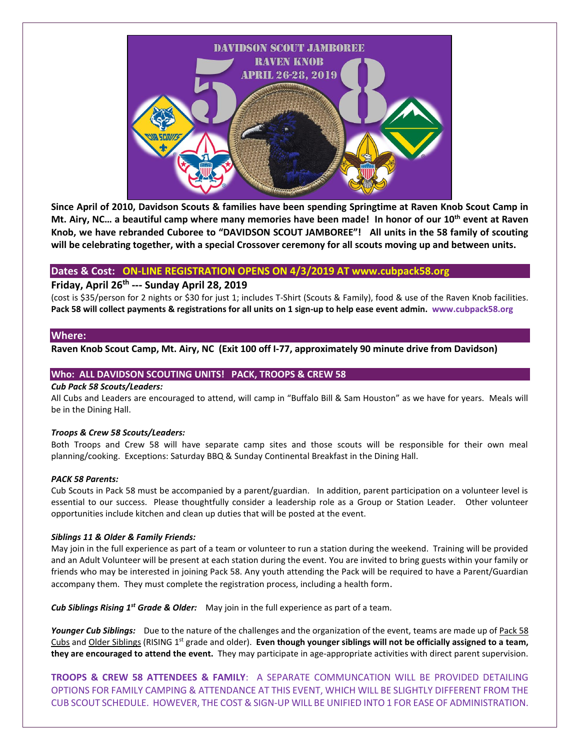

**Since April of 2010, Davidson Scouts & families have been spending Springtime at Raven Knob Scout Camp in Mt. Airy, NC… a beautiful camp where many memories have been made! In honor of our 10th event at Raven Knob, we have rebranded Cuboree to "DAVIDSON SCOUT JAMBOREE"! All units in the 58 family of scouting will be celebrating together, with a special Crossover ceremony for all scouts moving up and between units.** 

### **Dates & Cost: ON-LINE REGISTRATION OPENS ON 4/3/2019 AT www.cubpack58.org**

### **Friday, April 26 th --- Sunday April 28, 2019**

(cost is \$35/person for 2 nights or \$30 for just 1; includes T-Shirt (Scouts & Family), food & use of the Raven Knob facilities. **Pack 58 will collect payments & registrations for all units on 1 sign-up to help ease event admin. www.cubpack58.org**

#### **Where:**

#### **Raven Knob Scout Camp, Mt. Airy, NC (Exit 100 off I-77, approximately 90 minute drive from Davidson)**

### **Who: ALL DAVIDSON SCOUTING UNITS! PACK, TROOPS & CREW 58**

#### *Cub Pack 58 Scouts/Leaders:*

All Cubs and Leaders are encouraged to attend, will camp in "Buffalo Bill & Sam Houston" as we have for years. Meals will be in the Dining Hall.

#### *Troops & Crew 58 Scouts/Leaders:*

Both Troops and Crew 58 will have separate camp sites and those scouts will be responsible for their own meal planning/cooking. Exceptions: Saturday BBQ & Sunday Continental Breakfast in the Dining Hall.

#### *PACK 58 Parents:*

Cub Scouts in Pack 58 must be accompanied by a parent/guardian. In addition, parent participation on a volunteer level is essential to our success. Please thoughtfully consider a leadership role as a Group or Station Leader. Other volunteer opportunities include kitchen and clean up duties that will be posted at the event.

#### *Siblings 11 & Older & Family Friends:*

May join in the full experience as part of a team or volunteer to run a station during the weekend. Training will be provided and an Adult Volunteer will be present at each station during the event. You are invited to bring guests within your family or friends who may be interested in joining Pack 58. Any youth attending the Pack will be required to have a Parent/Guardian accompany them. They must complete the registration process, including a health form.

*Cub Siblings Rising 1st Grade & Older:* May join in the full experience as part of a team.

Younger Cub Siblings: Due to the nature of the challenges and the organization of the event, teams are made up of Pack 58 Cubs and Older Siblings (RISING 1st grade and older). **Even though younger siblings will not be officially assigned to a team, they are encouraged to attend the event.** They may participate in age-appropriate activities with direct parent supervision.

**TROOPS & CREW 58 ATTENDEES & FAMILY**: A SEPARATE COMMUNCATION WILL BE PROVIDED DETAILING OPTIONS FOR FAMILY CAMPING & ATTENDANCE AT THIS EVENT, WHICH WILL BE SLIGHTLY DIFFERENT FROM THE CUB SCOUT SCHEDULE. HOWEVER, THE COST & SIGN-UP WILL BE UNIFIED INTO 1 FOR EASE OF ADMINISTRATION.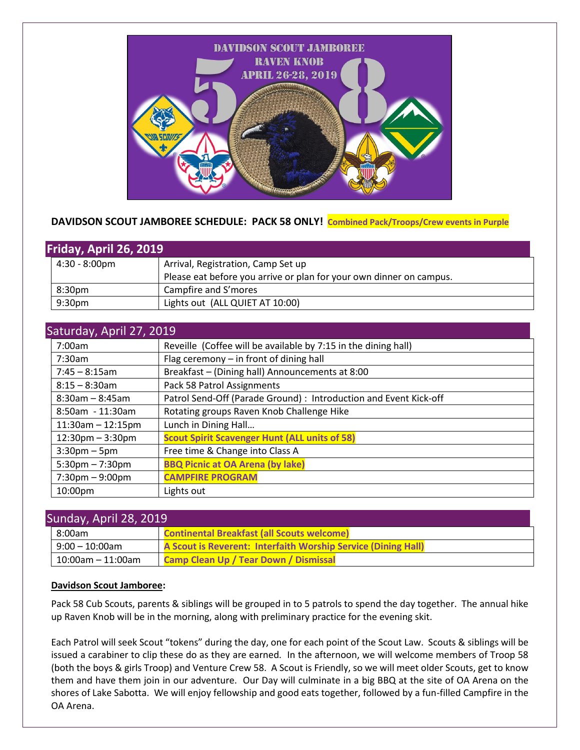

### **DAVIDSON SCOUT JAMBOREE SCHEDULE: PACK 58 ONLY! Combined Pack/Troops/Crew events in Purple**

| Friday, April 26, 2019  |                                                                     |  |
|-------------------------|---------------------------------------------------------------------|--|
| $4:30 - 8:00 \text{pm}$ | Arrival, Registration, Camp Set up                                  |  |
|                         | Please eat before you arrive or plan for your own dinner on campus. |  |
| 8:30 <sub>pm</sub>      | Campfire and S'mores                                                |  |
| 9:30 <sub>pm</sub>      | Lights out (ALL QUIET AT 10:00)                                     |  |

| Saturday, April 27, 2019           |                                                                   |  |
|------------------------------------|-------------------------------------------------------------------|--|
| 7:00am                             | Reveille (Coffee will be available by 7:15 in the dining hall)    |  |
| 7:30am                             | Flag ceremony - in front of dining hall                           |  |
| $7:45 - 8:15$ am                   | Breakfast - (Dining hall) Announcements at 8:00                   |  |
| $8:15 - 8:30$ am                   | Pack 58 Patrol Assignments                                        |  |
| $8:30$ am - $8:45$ am              | Patrol Send-Off (Parade Ground) : Introduction and Event Kick-off |  |
| 8:50am - 11:30am                   | Rotating groups Raven Knob Challenge Hike                         |  |
| $11:30$ am - $12:15$ pm            | Lunch in Dining Hall                                              |  |
| $12:30 \text{pm} - 3:30 \text{pm}$ | <b>Scout Spirit Scavenger Hunt (ALL units of 58)</b>              |  |
| $3:30$ pm – 5pm                    | Free time & Change into Class A                                   |  |
| $5:30$ pm $-7:30$ pm               | <b>BBQ Picnic at OA Arena (by lake)</b>                           |  |
| $7:30 \text{pm} - 9:00 \text{pm}$  | <b>CAMPFIRE PROGRAM</b>                                           |  |
| 10:00pm                            | Lights out                                                        |  |

| Sunday, April 28, 2019 |                                                               |  |
|------------------------|---------------------------------------------------------------|--|
| 8:00am                 | <b>Continental Breakfast (all Scouts welcome)</b>             |  |
| $9:00 - 10:00$ am      | A Scout is Reverent: Interfaith Worship Service (Dining Hall) |  |
| 10:00am - 11:00am      | <b>Camp Clean Up / Tear Down / Dismissal</b>                  |  |

### **Davidson Scout Jamboree:**

Pack 58 Cub Scouts, parents & siblings will be grouped in to 5 patrols to spend the day together. The annual hike up Raven Knob will be in the morning, along with preliminary practice for the evening skit.

Each Patrol will seek Scout "tokens" during the day, one for each point of the Scout Law. Scouts & siblings will be issued a carabiner to clip these do as they are earned. In the afternoon, we will welcome members of Troop 58 (both the boys & girls Troop) and Venture Crew 58. A Scout is Friendly, so we will meet older Scouts, get to know them and have them join in our adventure. Our Day will culminate in a big BBQ at the site of OA Arena on the shores of Lake Sabotta. We will enjoy fellowship and good eats together, followed by a fun-filled Campfire in the OA Arena.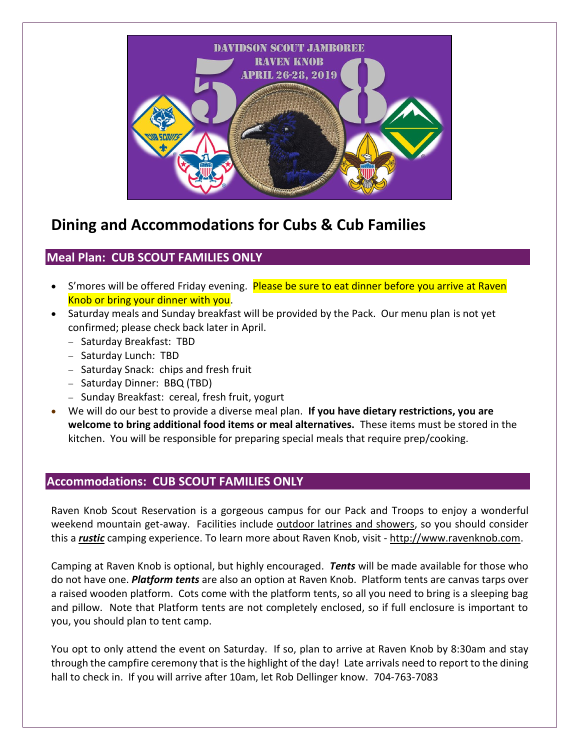

# **Dining and Accommodations for Cubs & Cub Families**

# **Meal Plan: CUB SCOUT FAMILIES ONLY**

- S'mores will be offered Friday evening. Please be sure to eat dinner before you arrive at Raven Knob or bring your dinner with you.
- Saturday meals and Sunday breakfast will be provided by the Pack. Our menu plan is not yet confirmed; please check back later in April.
	- − Saturday Breakfast: TBD
	- − Saturday Lunch: TBD
	- − Saturday Snack: chips and fresh fruit
	- − Saturday Dinner: BBQ (TBD)
	- − Sunday Breakfast: cereal, fresh fruit, yogurt
- We will do our best to provide a diverse meal plan. **If you have dietary restrictions, you are welcome to bring additional food items or meal alternatives.** These items must be stored in the kitchen. You will be responsible for preparing special meals that require prep/cooking.

# **Accommodations: CUB SCOUT FAMILIES ONLY**

Raven Knob Scout Reservation is a gorgeous campus for our Pack and Troops to enjoy a wonderful weekend mountain get-away. Facilities include outdoor latrines and showers, so you should consider this a *rustic* camping experience. To learn more about Raven Knob, visit - [http://www.ravenknob.com.](http://www.ravenknob.com/)

Camping at Raven Knob is optional, but highly encouraged. *Tents* will be made available for those who do not have one. *Platform tents* are also an option at Raven Knob. Platform tents are canvas tarps over a raised wooden platform. Cots come with the platform tents, so all you need to bring is a sleeping bag and pillow. Note that Platform tents are not completely enclosed, so if full enclosure is important to you, you should plan to tent camp.

You opt to only attend the event on Saturday. If so, plan to arrive at Raven Knob by 8:30am and stay through the campfire ceremony that is the highlight of the day! Late arrivals need to report to the dining hall to check in. If you will arrive after 10am, let Rob Dellinger know. 704-763-7083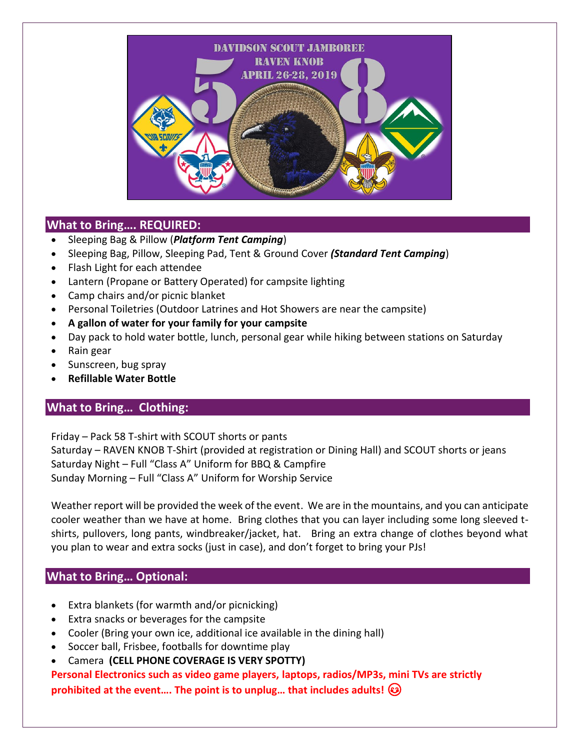

# **What to Bring…. REQUIRED:**

- Sleeping Bag & Pillow (*Platform Tent Camping*)
- Sleeping Bag, Pillow, Sleeping Pad, Tent & Ground Cover *(Standard Tent Camping*)
- Flash Light for each attendee
- Lantern (Propane or Battery Operated) for campsite lighting
- Camp chairs and/or picnic blanket
- Personal Toiletries (Outdoor Latrines and Hot Showers are near the campsite)
- **A gallon of water for your family for your campsite**
- Day pack to hold water bottle, lunch, personal gear while hiking between stations on Saturday
- Rain gear
- Sunscreen, bug spray
- **Refillable Water Bottle**

# **What to Bring… Clothing:**

Friday – Pack 58 T-shirt with SCOUT shorts or pants Saturday – RAVEN KNOB T-Shirt (provided at registration or Dining Hall) and SCOUT shorts or jeans Saturday Night – Full "Class A" Uniform for BBQ & Campfire Sunday Morning – Full "Class A" Uniform for Worship Service

Weather report will be provided the week of the event. We are in the mountains, and you can anticipate cooler weather than we have at home. Bring clothes that you can layer including some long sleeved tshirts, pullovers, long pants, windbreaker/jacket, hat. Bring an extra change of clothes beyond what you plan to wear and extra socks (just in case), and don't forget to bring your PJs!

# **What to Bring… Optional:**

- Extra blankets (for warmth and/or picnicking)
- Extra snacks or beverages for the campsite
- Cooler (Bring your own ice, additional ice available in the dining hall)
- Soccer ball, Frisbee, footballs for downtime play
- Camera **(CELL PHONE COVERAGE IS VERY SPOTTY)**

**Personal Electronics such as video game players, laptops, radios/MP3s, mini TVs are strictly prohibited at the event…. The point is to unplug… that includes adults!**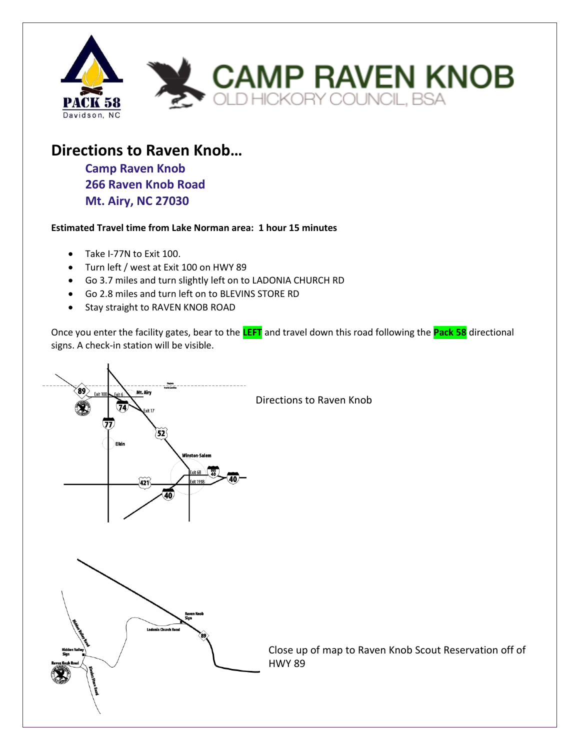

# **Directions to Raven Knob…**

**Camp Raven Knob 266 Raven Knob Road Mt. Airy, NC 27030**

### **Estimated Travel time from Lake Norman area: 1 hour 15 minutes**

- Take I-77N to Exit 100.
- Turn left / west at Exit 100 on HWY 89
- Go 3.7 miles and turn slightly left on to LADONIA CHURCH RD
- Go 2.8 miles and turn left on to BLEVINS STORE RD
- Stay straight to RAVEN KNOB ROAD

Once you enter the facility gates, bear to the **LEFT** and travel down this road following the **Pack 58** directional signs. A check-in station will be visible.